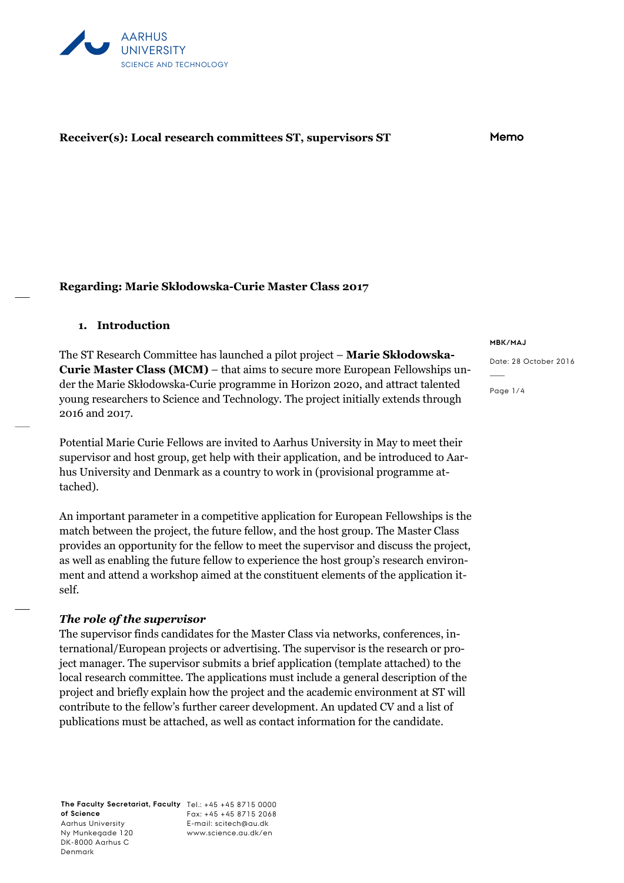

## **Receiver(s): Local research committees ST, supervisors ST Memo**

#### **Regarding: Marie Skłodowska-Curie Master Class 2017**

#### **1. Introduction**

The ST Research Committee has launched a pilot project – **Marie Skłodowska-Curie Master Class (MCM)** – that aims to secure more European Fellowships under the Marie Skłodowska-Curie programme in Horizon 2020, and attract talented young researchers to Science and Technology. The project initially extends through 2016 and 2017.

Potential Marie Curie Fellows are invited to Aarhus University in May to meet their supervisor and host group, get help with their application, and be introduced to Aarhus University and Denmark as a country to work in (provisional programme attached).

An important parameter in a competitive application for European Fellowships is the match between the project, the future fellow, and the host group. The Master Class provides an opportunity for the fellow to meet the supervisor and discuss the project, as well as enabling the future fellow to experience the host group's research environment and attend a workshop aimed at the constituent elements of the application itself.

#### *The role of the supervisor*

The supervisor finds candidates for the Master Class via networks, conferences, international/European projects or advertising. The supervisor is the research or project manager. The supervisor submits a brief application (template attached) to the local research committee. The applications must include a general description of the project and briefly explain how the project and the academic environment at ST will contribute to the fellow's further career development. An updated CV and a list of publications must be attached, as well as contact information for the candidate.

**The Faculty Secretariat, Faculty**  Tel.: +45 +45 8715 0000 **of Science** Aarhus University Ny Munkegade 120 DK-8000 Aarhus C Denmark

Fax: +45 +45 8715 2068 E-mail: scitech@au.dk www.science.au.dk/en

#### **MBK/MAJ**

Date: 28 October 2016

Page 1/4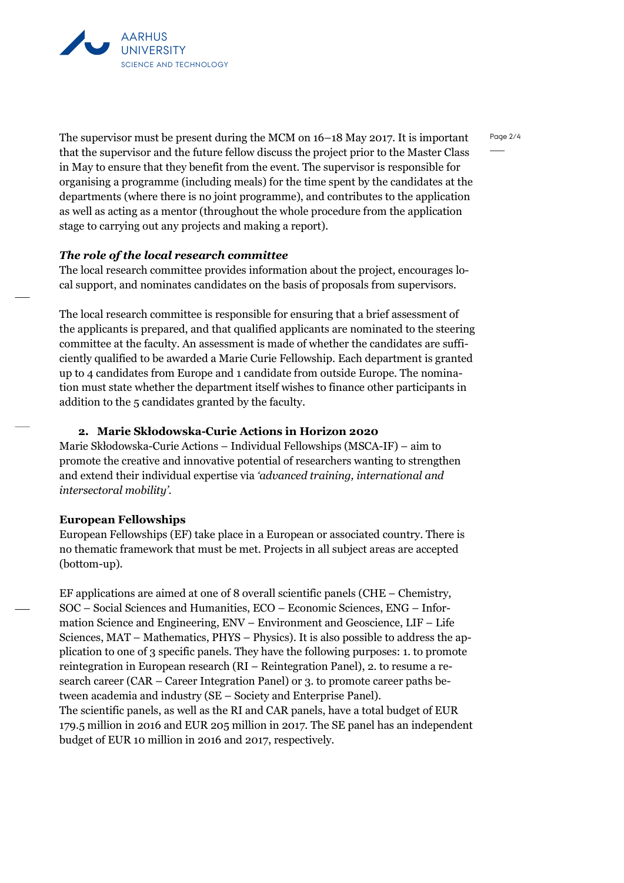

The supervisor must be present during the MCM on 16–18 May 2017. It is important that the supervisor and the future fellow discuss the project prior to the Master Class in May to ensure that they benefit from the event. The supervisor is responsible for organising a programme (including meals) for the time spent by the candidates at the departments (where there is no joint programme), and contributes to the application as well as acting as a mentor (throughout the whole procedure from the application stage to carrying out any projects and making a report).

## *The role of the local research committee*

The local research committee provides information about the project, encourages local support, and nominates candidates on the basis of proposals from supervisors.

The local research committee is responsible for ensuring that a brief assessment of the applicants is prepared, and that qualified applicants are nominated to the steering committee at the faculty. An assessment is made of whether the candidates are sufficiently qualified to be awarded a Marie Curie Fellowship. Each department is granted up to 4 candidates from Europe and 1 candidate from outside Europe. The nomination must state whether the department itself wishes to finance other participants in addition to the 5 candidates granted by the faculty.

# **2. Marie Skłodowska-Curie Actions in Horizon 2020**

Marie Skłodowska-Curie Actions – Individual Fellowships (MSCA-IF) – aim to promote the creative and innovative potential of researchers wanting to strengthen and extend their individual expertise via *'advanced training, international and intersectoral mobility'*.

#### **European Fellowships**

European Fellowships (EF) take place in a European or associated country. There is no thematic framework that must be met. Projects in all subject areas are accepted (bottom-up).

EF applications are aimed at one of 8 overall scientific panels (CHE – Chemistry, SOC – Social Sciences and Humanities, ECO – Economic Sciences, ENG – Information Science and Engineering, ENV – Environment and Geoscience, LIF – Life Sciences, MAT – Mathematics, PHYS – Physics). It is also possible to address the application to one of 3 specific panels. They have the following purposes: 1. to promote reintegration in European research (RI – Reintegration Panel), 2. to resume a research career (CAR – Career Integration Panel) or 3. to promote career paths between academia and industry (SE – Society and Enterprise Panel). The scientific panels, as well as the RI and CAR panels, have a total budget of EUR 179.5 million in 2016 and EUR 205 million in 2017. The SE panel has an independent budget of EUR 10 million in 2016 and 2017, respectively.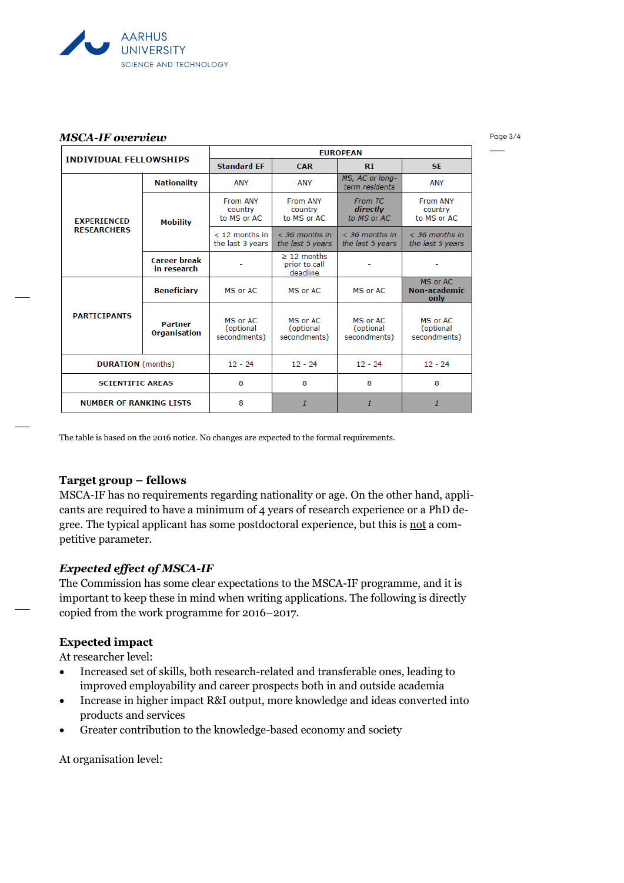

#### *MSCA-IF overview*

Page 3/4

| <b>INDIVIDUAL FELLOWSHIPS</b>            |                                    | <b>EUROPEAN</b>                       |                                               |                                       |                                       |
|------------------------------------------|------------------------------------|---------------------------------------|-----------------------------------------------|---------------------------------------|---------------------------------------|
|                                          |                                    | <b>Standard FF</b>                    | <b>CAR</b>                                    | RI                                    | <b>SE</b>                             |
| <b>EXPERIENCED</b><br><b>RESEARCHERS</b> | <b>Nationality</b>                 | <b>ANY</b>                            | <b>ANY</b>                                    | MS, AC or long-<br>term residents     | <b>ANY</b>                            |
|                                          | <b>Mobility</b>                    | From ANY<br>country<br>to MS or AC    | From ANY<br>country<br>to MS or AC            | From TC<br>directly<br>to MS or AC    | From ANY<br>country<br>to MS or AC    |
|                                          |                                    | $<$ 12 months in<br>the last 3 years  | $<$ 36 months in<br>the last 5 years          | $<$ 36 months in<br>the last 5 years  | $<$ 36 months in<br>the last 5 years  |
|                                          | <b>Career break</b><br>in research |                                       | $\geq$ 12 months<br>prior to call<br>deadline |                                       |                                       |
| <b>PARTICIPANTS</b>                      | <b>Beneficiary</b>                 | MS or AC                              | MS or AC                                      | MS or AC                              | MS or AC<br>Non-academic<br>only      |
|                                          | <b>Partner</b><br>Organisation     | MS or AC<br>(optional<br>secondments) | MS or AC<br>(optional<br>secondments)         | MS or AC<br>(optional<br>secondments) | MS or AC<br>(optional<br>secondments) |
| <b>DURATION</b> (months)                 |                                    | $12 - 24$                             | $12 - 24$                                     | $12 - 24$                             | $12 - 24$                             |
| <b>SCIENTIFIC AREAS</b>                  |                                    | 8                                     | 8                                             | 8                                     | 8                                     |
| <b>NUMBER OF RANKING LISTS</b>           |                                    | 8                                     | $\mathbf{1}$                                  | $\mathbf{1}$                          | 1                                     |

The table is based on the 2016 notice. No changes are expected to the formal requirements.

# **Target group – fellows**

MSCA-IF has no requirements regarding nationality or age. On the other hand, applicants are required to have a minimum of 4 years of research experience or a PhD degree. The typical applicant has some postdoctoral experience, but this is not a competitive parameter.

# *Expected effect of MSCA-IF*

The Commission has some clear expectations to the MSCA-IF programme, and it is important to keep these in mind when writing applications. The following is directly copied from the work programme for 2016–2017.

# **Expected impact**

At researcher level:

- Increased set of skills, both research-related and transferable ones, leading to improved employability and career prospects both in and outside academia
- Increase in higher impact R&I output, more knowledge and ideas converted into products and services
- Greater contribution to the knowledge-based economy and society

At organisation level: